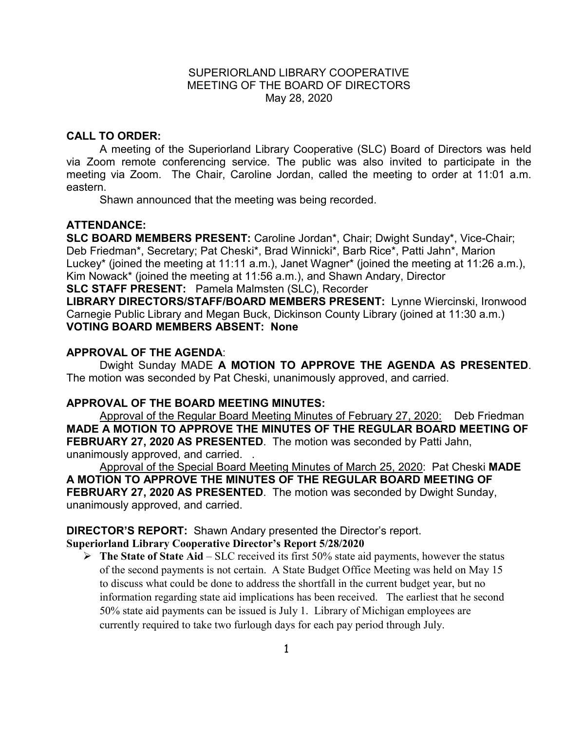### SUPERIORLAND LIBRARY COOPERATIVE MEETING OF THE BOARD OF DIRECTORS May 28, 2020

### **CALL TO ORDER:**

A meeting of the Superiorland Library Cooperative (SLC) Board of Directors was held via Zoom remote conferencing service. The public was also invited to participate in the meeting via Zoom. The Chair, Caroline Jordan, called the meeting to order at 11:01 a.m. eastern.

Shawn announced that the meeting was being recorded.

### **ATTENDANCE:**

**SLC BOARD MEMBERS PRESENT:** Caroline Jordan\*, Chair; Dwight Sunday\*, Vice-Chair; Deb Friedman\*, Secretary; Pat Cheski\*, Brad Winnicki\*, Barb Rice\*, Patti Jahn\*, Marion Luckey\* (joined the meeting at 11:11 a.m.), Janet Wagner\* (joined the meeting at 11:26 a.m.), Kim Nowack\* (joined the meeting at 11:56 a.m.), and Shawn Andary, Director **SLC STAFF PRESENT:** Pamela Malmsten (SLC), Recorder

**LIBRARY DIRECTORS/STAFF/BOARD MEMBERS PRESENT:** Lynne Wiercinski, Ironwood Carnegie Public Library and Megan Buck, Dickinson County Library (joined at 11:30 a.m.) **VOTING BOARD MEMBERS ABSENT: None**

### **APPROVAL OF THE AGENDA**:

Dwight Sunday MADE **A MOTION TO APPROVE THE AGENDA AS PRESENTED**. The motion was seconded by Pat Cheski, unanimously approved, and carried.

#### **APPROVAL OF THE BOARD MEETING MINUTES:**

Approval of the Regular Board Meeting Minutes of February 27, 2020: Deb Friedman **MADE A MOTION TO APPROVE THE MINUTES OF THE REGULAR BOARD MEETING OF FEBRUARY 27, 2020 AS PRESENTED**.The motion was seconded by Patti Jahn, unanimously approved, and carried. .

Approval of the Special Board Meeting Minutes of March 25, 2020: Pat Cheski **MADE A MOTION TO APPROVE THE MINUTES OF THE REGULAR BOARD MEETING OF FEBRUARY 27, 2020 AS PRESENTED**.The motion was seconded by Dwight Sunday, unanimously approved, and carried.

## **DIRECTOR'S REPORT:** Shawn Andary presented the Director's report.

### **Superiorland Library Cooperative Director's Report 5/28/2020**

 **The State of State Aid** – SLC received its first 50% state aid payments, however the status of the second payments is not certain. A State Budget Office Meeting was held on May 15 to discuss what could be done to address the shortfall in the current budget year, but no information regarding state aid implications has been received. The earliest that he second 50% state aid payments can be issued is July 1. Library of Michigan employees are currently required to take two furlough days for each pay period through July.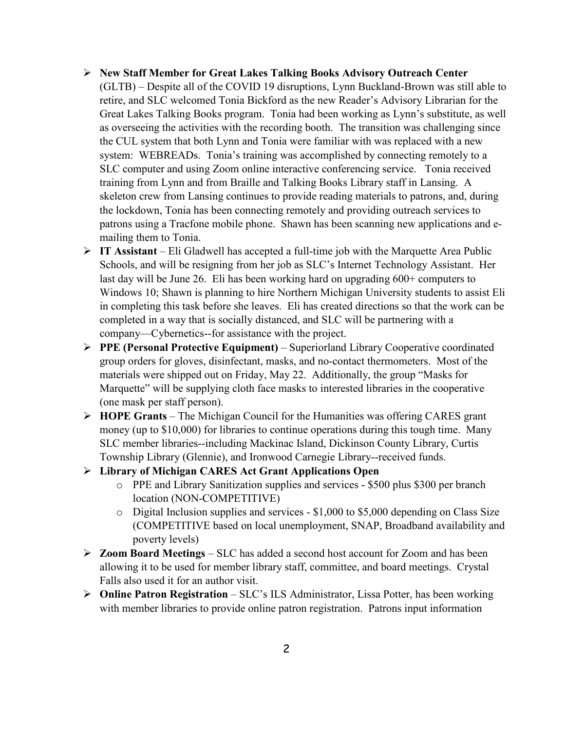- **New Staff Member for Great Lakes Talking Books Advisory Outreach Center**
	- (GLTB) Despite all of the COVID 19 disruptions, Lynn Buckland-Brown was still able to retire, and SLC welcomed Tonia Bickford as the new Reader's Advisory Librarian for the Great Lakes Talking Books program. Tonia had been working as Lynn's substitute, as well as overseeing the activities with the recording booth. The transition was challenging since the CUL system that both Lynn and Tonia were familiar with was replaced with a new system: WEBREADs. Tonia's training was accomplished by connecting remotely to a SLC computer and using Zoom online interactive conferencing service. Tonia received training from Lynn and from Braille and Talking Books Library staff in Lansing. A skeleton crew from Lansing continues to provide reading materials to patrons, and, during the lockdown, Tonia has been connecting remotely and providing outreach services to patrons using a Tracfone mobile phone. Shawn has been scanning new applications and emailing them to Tonia.
- **IT Assistant**  Eli Gladwell has accepted a full-time job with the Marquette Area Public Schools, and will be resigning from her job as SLC's Internet Technology Assistant. Her last day will be June 26. Eli has been working hard on upgrading 600+ computers to Windows 10; Shawn is planning to hire Northern Michigan University students to assist Eli in completing this task before she leaves. Eli has created directions so that the work can be completed in a way that is socially distanced, and SLC will be partnering with a company—Cybernetics--for assistance with the project.
- **PPE (Personal Protective Equipment)**  Superiorland Library Cooperative coordinated group orders for gloves, disinfectant, masks, and no-contact thermometers. Most of the materials were shipped out on Friday, May 22. Additionally, the group "Masks for Marquette" will be supplying cloth face masks to interested libraries in the cooperative (one mask per staff person).
- **HOPE Grants**  The Michigan Council for the Humanities was offering CARES grant money (up to \$10,000) for libraries to continue operations during this tough time. Many SLC member libraries--including Mackinac Island, Dickinson County Library, Curtis Township Library (Glennie), and Ironwood Carnegie Library--received funds.
- **Library of Michigan CARES Act Grant Applications Open**
	- o PPE and Library Sanitization supplies and services \$500 plus \$300 per branch location (NON-COMPETITIVE)
	- o Digital Inclusion supplies and services \$1,000 to \$5,000 depending on Class Size (COMPETITIVE based on local unemployment, SNAP, Broadband availability and poverty levels)
- **Zoom Board Meetings**  SLC has added a second host account for Zoom and has been allowing it to be used for member library staff, committee, and board meetings. Crystal Falls also used it for an author visit.
- **Online Patron Registration** SLC's ILS Administrator, Lissa Potter, has been working with member libraries to provide online patron registration. Patrons input information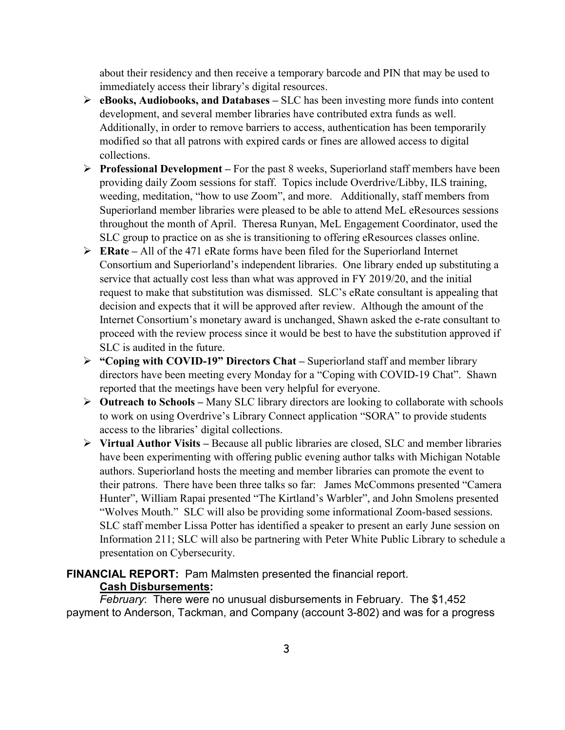about their residency and then receive a temporary barcode and PIN that may be used to immediately access their library's digital resources.

- **eBooks, Audiobooks, and Databases –** SLC has been investing more funds into content development, and several member libraries have contributed extra funds as well. Additionally, in order to remove barriers to access, authentication has been temporarily modified so that all patrons with expired cards or fines are allowed access to digital collections.
- **Professional Development –** For the past 8 weeks, Superiorland staff members have been providing daily Zoom sessions for staff. Topics include Overdrive/Libby, ILS training, weeding, meditation, "how to use Zoom", and more. Additionally, staff members from Superiorland member libraries were pleased to be able to attend MeL eResources sessions throughout the month of April. Theresa Runyan, MeL Engagement Coordinator, used the SLC group to practice on as she is transitioning to offering eResources classes online.
- **ERate –** All of the 471 eRate forms have been filed for the Superiorland Internet Consortium and Superiorland's independent libraries. One library ended up substituting a service that actually cost less than what was approved in FY 2019/20, and the initial request to make that substitution was dismissed. SLC's eRate consultant is appealing that decision and expects that it will be approved after review. Although the amount of the Internet Consortium's monetary award is unchanged, Shawn asked the e-rate consultant to proceed with the review process since it would be best to have the substitution approved if SLC is audited in the future.
- **"Coping with COVID-19" Directors Chat –** Superiorland staff and member library directors have been meeting every Monday for a "Coping with COVID-19 Chat". Shawn reported that the meetings have been very helpful for everyone.
- **Outreach to Schools –** Many SLC library directors are looking to collaborate with schools to work on using Overdrive's Library Connect application "SORA" to provide students access to the libraries' digital collections.
- **Virtual Author Visits –** Because all public libraries are closed, SLC and member libraries have been experimenting with offering public evening author talks with Michigan Notable authors. Superiorland hosts the meeting and member libraries can promote the event to their patrons. There have been three talks so far: James McCommons presented "Camera Hunter", William Rapai presented "The Kirtland's Warbler", and John Smolens presented "Wolves Mouth." SLC will also be providing some informational Zoom-based sessions. SLC staff member Lissa Potter has identified a speaker to present an early June session on Information 211; SLC will also be partnering with Peter White Public Library to schedule a presentation on Cybersecurity.

# **FINANCIAL REPORT:** Pam Malmsten presented the financial report. **Cash Disbursements:**

*February*: There were no unusual disbursements in February. The \$1,452 payment to Anderson, Tackman, and Company (account 3-802) and was for a progress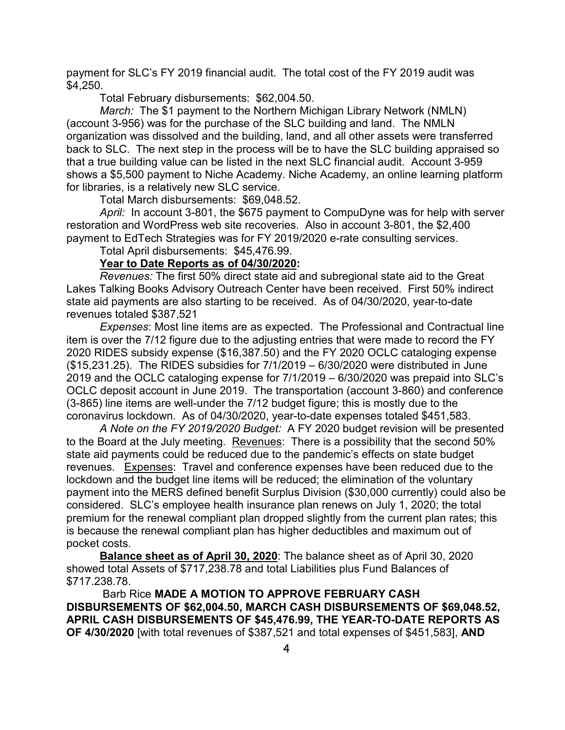payment for SLC's FY 2019 financial audit. The total cost of the FY 2019 audit was \$4,250.

Total February disbursements: \$62,004.50.

*March:* The \$1 payment to the Northern Michigan Library Network (NMLN) (account 3-956) was for the purchase of the SLC building and land. The NMLN organization was dissolved and the building, land, and all other assets were transferred back to SLC. The next step in the process will be to have the SLC building appraised so that a true building value can be listed in the next SLC financial audit. Account 3-959 shows a \$5,500 payment to Niche Academy. Niche Academy, an online learning platform for libraries, is a relatively new SLC service.

Total March disbursements: \$69,048.52.

*April:* In account 3-801, the \$675 payment to CompuDyne was for help with server restoration and WordPress web site recoveries. Also in account 3-801, the \$2,400 payment to EdTech Strategies was for FY 2019/2020 e-rate consulting services.

Total April disbursements: \$45,476.99.

### **Year to Date Reports as of 04/30/2020:**

*Revenues:* The first 50% direct state aid and subregional state aid to the Great Lakes Talking Books Advisory Outreach Center have been received. First 50% indirect state aid payments are also starting to be received. As of 04/30/2020, year-to-date revenues totaled \$387,521

*Expenses*: Most line items are as expected. The Professional and Contractual line item is over the 7/12 figure due to the adjusting entries that were made to record the FY 2020 RIDES subsidy expense (\$16,387.50) and the FY 2020 OCLC cataloging expense (\$15,231.25). The RIDES subsidies for 7/1/2019 – 6/30/2020 were distributed in June 2019 and the OCLC cataloging expense for 7/1/2019 – 6/30/2020 was prepaid into SLC's OCLC deposit account in June 2019. The transportation (account 3-860) and conference (3-865) line items are well-under the 7/12 budget figure; this is mostly due to the coronavirus lockdown. As of 04/30/2020, year-to-date expenses totaled \$451,583.

*A Note on the FY 2019/2020 Budget:* A FY 2020 budget revision will be presented to the Board at the July meeting. Revenues: There is a possibility that the second 50% state aid payments could be reduced due to the pandemic's effects on state budget revenues. Expenses: Travel and conference expenses have been reduced due to the lockdown and the budget line items will be reduced; the elimination of the voluntary payment into the MERS defined benefit Surplus Division (\$30,000 currently) could also be considered. SLC's employee health insurance plan renews on July 1, 2020; the total premium for the renewal compliant plan dropped slightly from the current plan rates; this is because the renewal compliant plan has higher deductibles and maximum out of pocket costs.

**Balance sheet as of April 30, 2020**: The balance sheet as of April 30, 2020 showed total Assets of \$717,238.78 and total Liabilities plus Fund Balances of \$717.238.78.

Barb Rice **MADE A MOTION TO APPROVE FEBRUARY CASH DISBURSEMENTS OF \$62,004.50, MARCH CASH DISBURSEMENTS OF \$69,048.52, APRIL CASH DISBURSEMENTS OF \$45,476.99, THE YEAR-TO-DATE REPORTS AS OF 4/30/2020** [with total revenues of \$387,521 and total expenses of \$451,583], **AND**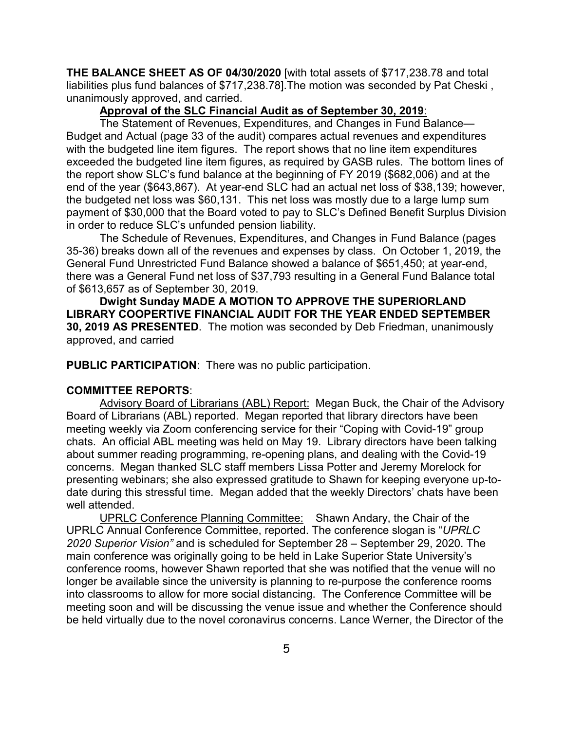**THE BALANCE SHEET AS OF 04/30/2020** [with total assets of \$717,238.78 and total liabilities plus fund balances of \$717,238.78].The motion was seconded by Pat Cheski , unanimously approved, and carried.

# **Approval of the SLC Financial Audit as of September 30, 2019**:

The Statement of Revenues, Expenditures, and Changes in Fund Balance— Budget and Actual (page 33 of the audit) compares actual revenues and expenditures with the budgeted line item figures. The report shows that no line item expenditures exceeded the budgeted line item figures, as required by GASB rules. The bottom lines of the report show SLC's fund balance at the beginning of FY 2019 (\$682,006) and at the end of the year (\$643,867). At year-end SLC had an actual net loss of \$38,139; however, the budgeted net loss was \$60,131. This net loss was mostly due to a large lump sum payment of \$30,000 that the Board voted to pay to SLC's Defined Benefit Surplus Division in order to reduce SLC's unfunded pension liability.

The Schedule of Revenues, Expenditures, and Changes in Fund Balance (pages 35-36) breaks down all of the revenues and expenses by class. On October 1, 2019, the General Fund Unrestricted Fund Balance showed a balance of \$651,450; at year-end, there was a General Fund net loss of \$37,793 resulting in a General Fund Balance total of \$613,657 as of September 30, 2019.

**Dwight Sunday MADE A MOTION TO APPROVE THE SUPERIORLAND LIBRARY COOPERTIVE FINANCIAL AUDIT FOR THE YEAR ENDED SEPTEMBER 30, 2019 AS PRESENTED**.The motion was seconded by Deb Friedman, unanimously approved, and carried

**PUBLIC PARTICIPATION**: There was no public participation.

#### **COMMITTEE REPORTS**:

Advisory Board of Librarians (ABL) Report: Megan Buck, the Chair of the Advisory Board of Librarians (ABL) reported. Megan reported that library directors have been meeting weekly via Zoom conferencing service for their "Coping with Covid-19" group chats. An official ABL meeting was held on May 19. Library directors have been talking about summer reading programming, re-opening plans, and dealing with the Covid-19 concerns. Megan thanked SLC staff members Lissa Potter and Jeremy Morelock for presenting webinars; she also expressed gratitude to Shawn for keeping everyone up-todate during this stressful time. Megan added that the weekly Directors' chats have been well attended.

UPRLC Conference Planning Committee: Shawn Andary, the Chair of the UPRLC Annual Conference Committee, reported. The conference slogan is "*UPRLC 2020 Superior Vision"* and is scheduled for September 28 – September 29, 2020. The main conference was originally going to be held in Lake Superior State University's conference rooms, however Shawn reported that she was notified that the venue will no longer be available since the university is planning to re-purpose the conference rooms into classrooms to allow for more social distancing. The Conference Committee will be meeting soon and will be discussing the venue issue and whether the Conference should be held virtually due to the novel coronavirus concerns. Lance Werner, the Director of the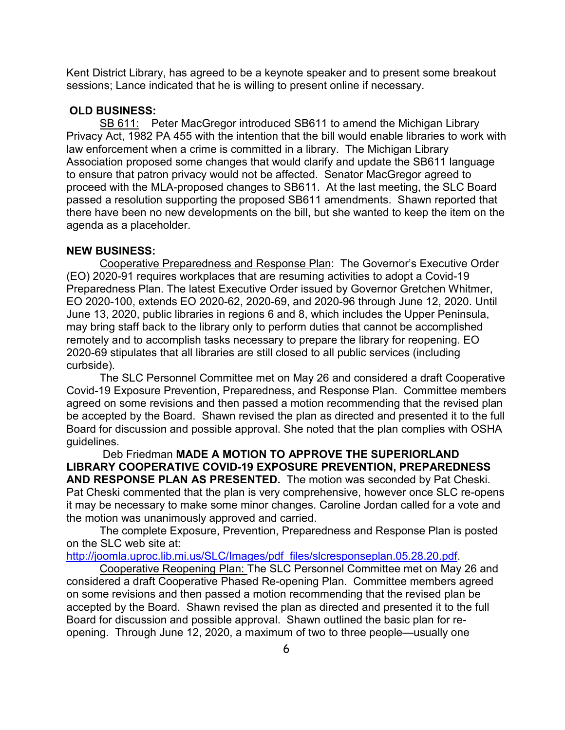Kent District Library, has agreed to be a keynote speaker and to present some breakout sessions; Lance indicated that he is willing to present online if necessary.

### **OLD BUSINESS:**

SB 611: Peter MacGregor introduced SB611 to amend the Michigan Library Privacy Act, 1982 PA 455 with the intention that the bill would enable libraries to work with law enforcement when a crime is committed in a library. The Michigan Library Association proposed some changes that would clarify and update the SB611 language to ensure that patron privacy would not be affected. Senator MacGregor agreed to proceed with the MLA-proposed changes to SB611. At the last meeting, the SLC Board passed a resolution supporting the proposed SB611 amendments. Shawn reported that there have been no new developments on the bill, but she wanted to keep the item on the agenda as a placeholder.

### **NEW BUSINESS:**

Cooperative Preparedness and Response Plan: The Governor's Executive Order (EO) 2020-91 requires workplaces that are resuming activities to adopt a Covid-19 Preparedness Plan. The latest Executive Order issued by Governor Gretchen Whitmer, EO 2020-100, extends EO 2020-62, 2020-69, and 2020-96 through June 12, 2020. Until June 13, 2020, public libraries in regions 6 and 8, which includes the Upper Peninsula, may bring staff back to the library only to perform duties that cannot be accomplished remotely and to accomplish tasks necessary to prepare the library for reopening. EO 2020-69 stipulates that all libraries are still closed to all public services (including curbside).

The SLC Personnel Committee met on May 26 and considered a draft Cooperative Covid-19 Exposure Prevention, Preparedness, and Response Plan. Committee members agreed on some revisions and then passed a motion recommending that the revised plan be accepted by the Board. Shawn revised the plan as directed and presented it to the full Board for discussion and possible approval. She noted that the plan complies with OSHA guidelines.

Deb Friedman **MADE A MOTION TO APPROVE THE SUPERIORLAND LIBRARY COOPERATIVE COVID-19 EXPOSURE PREVENTION, PREPAREDNESS AND RESPONSE PLAN AS PRESENTED.** The motion was seconded by Pat Cheski. Pat Cheski commented that the plan is very comprehensive, however once SLC re-opens it may be necessary to make some minor changes. Caroline Jordan called for a vote and the motion was unanimously approved and carried.

The complete Exposure, Prevention, Preparedness and Response Plan is posted on the SLC web site at:

[http://joomla.uproc.lib.mi.us/SLC/Images/pdf\\_files/slcresponseplan.05.28.20.pdf.](http://joomla.uproc.lib.mi.us/SLC/Images/pdf_files/slcresponseplan.05.28.20.pdf)

Cooperative Reopening Plan: The SLC Personnel Committee met on May 26 and considered a draft Cooperative Phased Re-opening Plan. Committee members agreed on some revisions and then passed a motion recommending that the revised plan be accepted by the Board. Shawn revised the plan as directed and presented it to the full Board for discussion and possible approval. Shawn outlined the basic plan for reopening. Through June 12, 2020, a maximum of two to three people—usually one